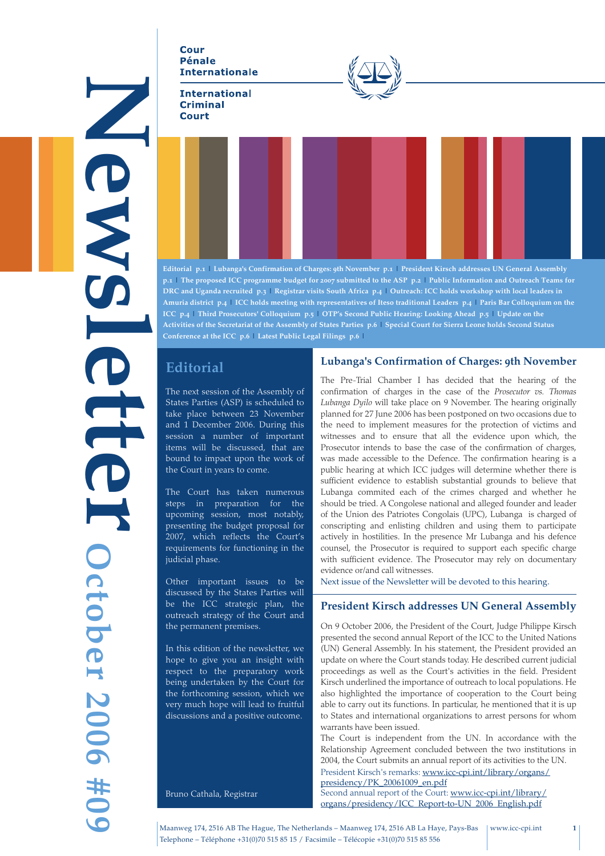**Cour Pénale Internationale** 

#### **International Criminal Court**



**Editorial p.1 | Lubanga's Confirmation of Charges: 9th November p.1 | President Kirsch addresses UN General Assembly p.1 | The proposed ICC programme budget for 2007 submitted to the ASP p.2 | Public Information and Outreach Teams for DRC and Uganda recruited p.3 | Registrar visits South Africa p.4 | Outreach: ICC holds workshop with local leaders in Amuria district p.4 | ICC holds meeting with representatives of Iteso traditional Leaders p.4 | Paris Bar Colloquium on the ICC p.4 | Third Prosecutors' Colloquium p.5 | OTP's Second Public Hearing: Looking Ahead p.5 | Update on the Activities of the Secretariat of the Assembly of States Parties p.6 | Special Court for Sierra Leone holds Second Status Conference at the ICC p.6 | Latest Public Legal Filings p.6 |**

# **Editorial**

News1e1ter

E

NAS

**October 2006 #09**

**October 2006 #09** 

The next session of the Assembly of States Parties (ASP) is scheduled to take place between 23 November and 1 December 2006. During this session a number of important items will be discussed, that are bound to impact upon the work of the Court in years to come.

The Court has taken numerous steps in preparation for the upcoming session, most notably, presenting the budget proposal for 2007, which reflects the Court's requirements for functioning in the judicial phase.

Other important issues to be discussed by the States Parties will be the ICC strategic plan, the outreach strategy of the Court and the permanent premises.

In this edition of the newsletter, we hope to give you an insight with respect to the preparatory work being undertaken by the Court for the forthcoming session, which we very much hope will lead to fruitful discussions and a positive outcome.

Bruno Cathala, Registrar

### **Lubanga's Confirmation of Charges: 9th November**

The Pre-Trial Chamber I has decided that the hearing of the confirmation of charges in the case of the *Prosecutor vs. Thomas Lubanga Dyilo* will take place on 9 November. The hearing originally planned for 27 June 2006 has been postponed on two occasions due to the need to implement measures for the protection of victims and witnesses and to ensure that all the evidence upon which, the Prosecutor intends to base the case of the confirmation of charges, was made accessible to the Defence. The confirmation hearing is a public hearing at which ICC judges will determine whether there is sufficient evidence to establish substantial grounds to believe that Lubanga commited each of the crimes charged and whether he should be tried. A Congolese national and alleged founder and leader of the Union des Patriotes Congolais (UPC), Lubanga is charged of conscripting and enlisting children and using them to participate actively in hostilities. In the presence Mr Lubanga and his defence counsel, the Prosecutor is required to support each specific charge with sufficient evidence. The Prosecutor may rely on documentary evidence or/and call witnesses.

Next issue of the Newsletter will be devoted to this hearing.

#### **President Kirsch addresses UN General Assembly**

On 9 October 2006, the President of the Court, Judge Philippe Kirsch presented the second annual Report of the ICC to the United Nations (UN) General Assembly. In his statement, the President provided an update on where the Court stands today. He described current judicial proceedings as well as the Court's activities in the field. President Kirsch underlined the importance of outreach to local populations. He also highlighted the importance of cooperation to the Court being able to carry out its functions. In particular, he mentioned that it is up to States and international organizations to arrest persons for whom warrants have been issued.

The Court is independent from the UN. In accordance with the Relationship Agreement concluded between the two institutions in 2004, the Court submits an annual report of its activities to the UN.

President Kirsch's remarks: www.icc-cpi.int/library/organs/ presidency/PK\_20061009\_en.pdf

Second annual report of the Court: www.icc-cpi.int/library/ organs/presidency/ICC\_Report-to-UN\_2006\_English.pdf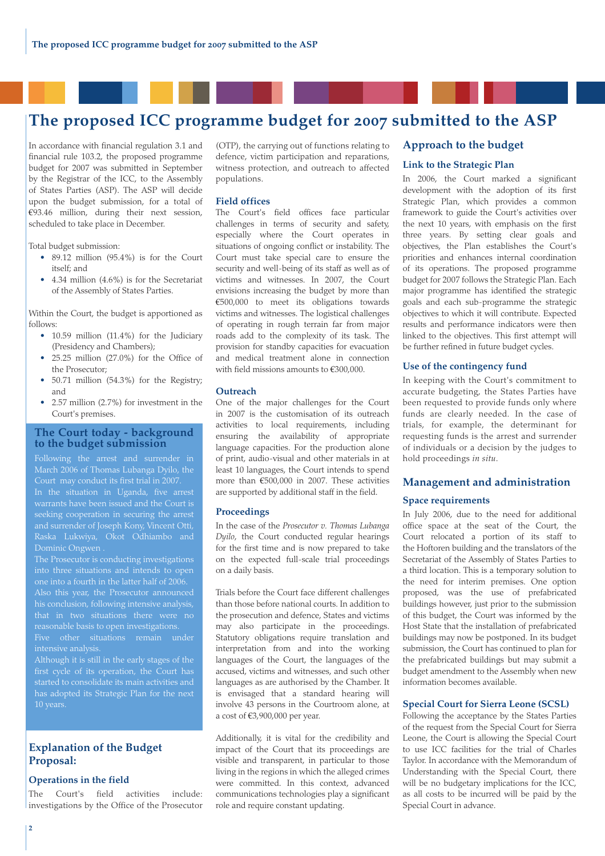# **The proposed ICC programme budget for 2007 submitted to the ASP**

In accordance with financial regulation 3.1 and financial rule 103.2, the proposed programme budget for 2007 was submitted in September by the Registrar of the ICC, to the Assembly of States Parties (ASP). The ASP will decide upon the budget submission, for a total of €93.46 million, during their next session, scheduled to take place in December.

Total budget submission:

- 89.12 million (95.4%) is for the Court itself; and
- 4.34 million (4.6%) is for the Secretariat of the Assembly of States Parties.

Within the Court, the budget is apportioned as follows:

- 10.59 million (11.4%) for the Judiciary (Presidency and Chambers);
- 25.25 million (27.0%) for the Office of the Prosecutor;
- 50.71 million (54.3%) for the Registry; and
- 2.57 million (2.7%) for investment in the Court's premises.

#### **The Court today - background to the budget submission**

Following the arrest and surrender in March 2006 of Thomas Lubanga Dyilo, the In the situation in Uganda, five arrest seeking cooperation in securing the arrest Dominic Ongwen .

The Prosecutor is conducting investigations into three situations and intends to open his conclusion, following intensive analysis, reasonable basis to open investigations. intensive analysis.

Although it is still in the early stages of the started to consolidate its main activities and has adopted its Strategic Plan for the next

#### **Explanation of the Budget Proposal:**

#### **Operations in the field**

The Court's field activities include: investigations by the Office of the Prosecutor (OTP), the carrying out of functions relating to defence, victim participation and reparations, witness protection, and outreach to affected populations.

#### **Field offices**

The Court's field offices face particular challenges in terms of security and safety, especially where the Court operates in situations of ongoing conflict or instability. The Court must take special care to ensure the security and well-being of its staff as well as of victims and witnesses. In 2007, the Court envisions increasing the budget by more than €500,000 to meet its obligations towards victims and witnesses. The logistical challenges of operating in rough terrain far from major roads add to the complexity of its task. The provision for standby capacities for evacuation and medical treatment alone in connection with field missions amounts to €300,000.

#### **Outreach**

One of the major challenges for the Court in 2007 is the customisation of its outreach activities to local requirements, including ensuring the availability of appropriate language capacities. For the production alone of print, audio-visual and other materials in at least 10 languages, the Court intends to spend more than €500,000 in 2007. These activities are supported by additional staff in the field.

#### **Proceedings**

In the case of the *Prosecutor v. Thomas Lubanga Dyilo*, the Court conducted regular hearings for the first time and is now prepared to take on the expected full-scale trial proceedings on a daily basis.

Trials before the Court face different challenges than those before national courts. In addition to the prosecution and defence, States and victims may also participate in the proceedings. Statutory obligations require translation and interpretation from and into the working languages of the Court, the languages of the accused, victims and witnesses, and such other languages as are authorised by the Chamber. It is envisaged that a standard hearing will involve 43 persons in the Courtroom alone, at a cost of €3,900,000 per year.

Additionally, it is vital for the credibility and impact of the Court that its proceedings are visible and transparent, in particular to those living in the regions in which the alleged crimes were committed. In this context, advanced communications technologies play a significant role and require constant updating.

#### **Approach to the budget**

#### **Link to the Strategic Plan**

In 2006, the Court marked a significant development with the adoption of its first Strategic Plan, which provides a common framework to guide the Court's activities over the next 10 years, with emphasis on the first three years. By setting clear goals and objectives, the Plan establishes the Court's priorities and enhances internal coordination of its operations. The proposed programme budget for 2007 follows the Strategic Plan. Each major programme has identified the strategic goals and each sub-programme the strategic objectives to which it will contribute. Expected results and performance indicators were then linked to the objectives. This first attempt will be further refined in future budget cycles.

#### **Use of the contingency fund**

In keeping with the Court's commitment to accurate budgeting, the States Parties have been requested to provide funds only where funds are clearly needed. In the case of trials, for example, the determinant for requesting funds is the arrest and surrender of individuals or a decision by the judges to hold proceedings *in situ*.

#### **Management and administration**

#### **Space requirements**

In July 2006, due to the need for additional office space at the seat of the Court, the Court relocated a portion of its staff to the Hoftoren building and the translators of the Secretariat of the Assembly of States Parties to a third location. This is a temporary solution to the need for interim premises. One option proposed, was the use of prefabricated buildings however, just prior to the submission of this budget, the Court was informed by the Host State that the installation of prefabricated buildings may now be postponed. In its budget submission, the Court has continued to plan for the prefabricated buildings but may submit a budget amendment to the Assembly when new information becomes available.

#### **Special Court for Sierra Leone (SCSL)**

Following the acceptance by the States Parties of the request from the Special Court for Sierra Leone, the Court is allowing the Special Court to use ICC facilities for the trial of Charles Taylor. In accordance with the Memorandum of Understanding with the Special Court, there will be no budgetary implications for the ICC, as all costs to be incurred will be paid by the Special Court in advance.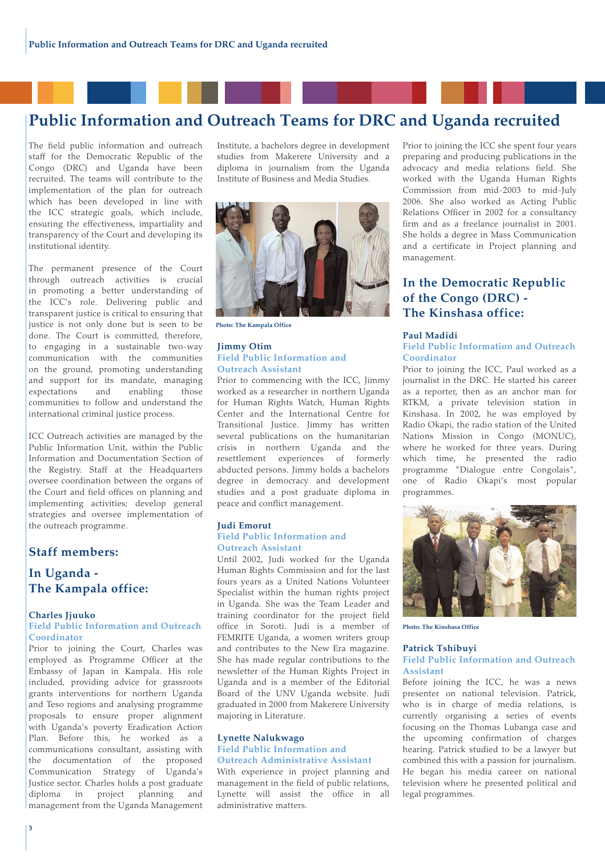# **Public Information and Outreach Teams for DRC and Uganda recruited**

The field public information and outreach staff for the Democratic Republic of the Congo (DRC) and Uganda have been recruited. The teams will contribute to the implementation of the plan for outreach which has been developed in line with the ICC strategic goals, which include, ensuring the effectiveness, impartiality and transparency of the Court and developing its institutional identity.

The permanent presence of the Court through outreach activities is crucial in promoting a better understanding of the ICC's role. Delivering public and transparent justice is critical to ensuring that justice is not only done but is seen to be done. The Court is committed, therefore, to engaging in a sustainable two-way communication with the communities on the ground, promoting understanding and support for its mandate, managing<br>expectations and enabling those expectations and enabling those communities to follow and understand the international criminal justice process.

ICC Outreach activities are managed by the Public Information Unit, within the Public Information and Documentation Section of the Registry. Staff at the Headquarters oversee coordination between the organs of the Court and field offices on planning and implementing activities; develop general strategies and oversee implementation of the outreach programme.

### **Staff members:**

### **In Uganda - The Kampala office:**

#### **Charles Jjuuko**

#### **Field Public Information and Outreach Coordinator**

Prior to joining the Court, Charles was employed as Programme Officer at the Embassy of Japan in Kampala. His role included, providing advice for grassroots grants interventions for northern Uganda and Teso regions and analysing programme proposals to ensure proper alignment with Uganda's poverty Eradication Action Plan. Before this, he worked as a communications consultant, assisting with the documentation of the proposed Communication Strategy of Uganda's Justice sector. Charles holds a post graduate<br>diploma in project planning and diploma in project planning management from the Uganda Management Institute, a bachelors degree in development studies from Makerere University and a diploma in journalism from the Uganda Institute of Business and Media Studies.



**Photo: The Kampala Office**

#### **Jimmy Otim Field Public Information and Outreach Assistant**

Prior to commencing with the ICC, Jimmy worked as a researcher in northern Uganda for Human Rights Watch, Human Rights Center and the International Centre for Transitional Justice. Jimmy has written several publications on the humanitarian crisis in northern Uganda and the resettlement experiences of formerly abducted persons. Jimmy holds a bachelors degree in democracy and development studies and a post graduate diploma in peace and conflict management.

#### **Judi Emorut Field Public Information and Outreach Assistant**

Until 2002, Judi worked for the Uganda Human Rights Commission and for the last fours years as a United Nations Volunteer Specialist within the human rights project in Uganda. She was the Team Leader and training coordinator for the project field office in Soroti. Judi is a member of FEMRITE Uganda, a women writers group and contributes to the New Era magazine. She has made regular contributions to the newsletter of the Human Rights Project in Uganda and is a member of the Editorial Board of the UNV Uganda website. Judi graduated in 2000 from Makerere University majoring in Literature.

#### **Lynette Nalukwago Field Public Information and Outreach Administrative Assistant**

With experience in project planning and management in the field of public relations, Lynette will assist the office in all administrative matters.

Prior to joining the ICC she spent four years preparing and producing publications in the advocacy and media relations field. She worked with the Uganda Human Rights Commission from mid-2003 to mid-July 2006. She also worked as Acting Public Relations Officer in 2002 for a consultancy firm and as a freelance journalist in 2001. She holds a degree in Mass Communication and a certificate in Project planning and management.

### **In the Democratic Republic of the Congo (DRC) - The Kinshasa office:**

#### **Paul Madidi**

#### **Field Public Information and Outreach Coordinator**

Prior to joining the ICC, Paul worked as a journalist in the DRC. He started his career as a reporter, then as an anchor man for RTKM, a private television station in Kinshasa. In 2002, he was employed by Radio Okapi, the radio station of the United Nations Mission in Congo (MONUC), where he worked for three years. During which time, he presented the radio programme "Dialogue entre Congolais", one of Radio Okapi's most popular programmes.



**Photo: The Kinshasa Office**

#### **Patrick Tshibuyi Field Public Information and Outreach Assistant**

Before joining the ICC, he was a news presenter on national television. Patrick, who is in charge of media relations, is currently organising a series of events focusing on the Thomas Lubanga case and the upcoming confirmation of charges hearing. Patrick studied to be a lawyer but combined this with a passion for journalism. He began his media career on national television where he presented political and legal programmes.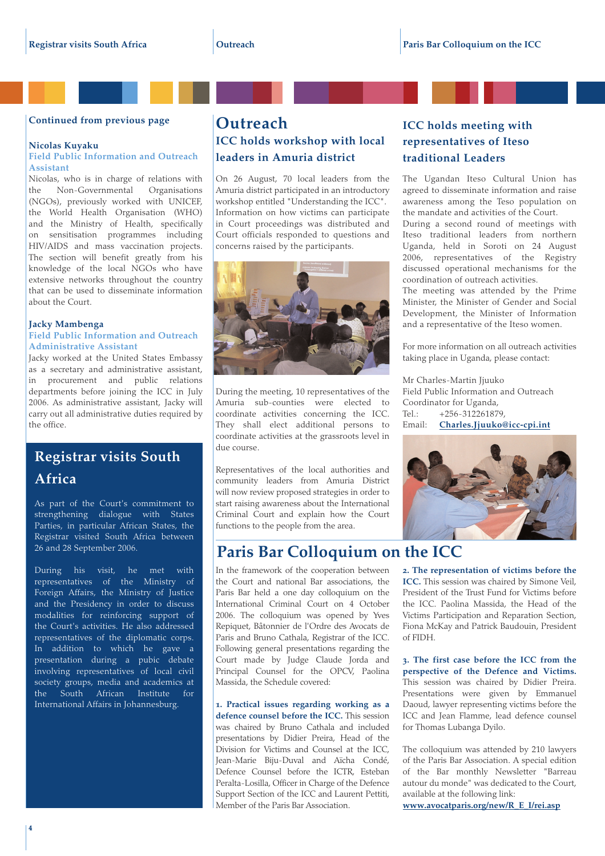#### **Continued from previous page**

#### **Nicolas Kuyaku**

#### **Field Public Information and Outreach Assistant**

Nicolas, who is in charge of relations with the Non-Governmental Organisations (NGOs), previously worked with UNICEF, the World Health Organisation (WHO) and the Ministry of Health, specifically on sensitisation programmes including HIV/AIDS and mass vaccination projects. The section will benefit greatly from his knowledge of the local NGOs who have extensive networks throughout the country that can be used to disseminate information about the Court.

#### **Jacky Mambenga Field Public Information and Outreach Administrative Assistant**

Jacky worked at the United States Embassy as a secretary and administrative assistant, in procurement and public relations departments before joining the ICC in July 2006. As administrative assistant, Jacky will carry out all administrative duties required by the office.

# **Registrar visits South Africa**

As part of the Court's commitment to strengthening dialogue with States Parties, in particular African States, the Registrar visited South Africa between 26 and 28 September 2006.

During his visit, he met with representatives of the Ministry of Foreign Affairs, the Ministry of Justice and the Presidency in order to discuss modalities for reinforcing support of the Court's activities. He also addressed representatives of the diplomatic corps. In addition to which he gave a presentation during a pubic debate involving representatives of local civil society groups, media and academics at the South African Institute for International Affairs in Johannesburg.

### **Outreach ICC holds workshop with local leaders in Amuria district**

On 26 August, 70 local leaders from the Amuria district participated in an introductory workshop entitled "Understanding the ICC". Information on how victims can participate in Court proceedings was distributed and Court officials responded to questions and concerns raised by the participants.



During the meeting, 10 representatives of the Amuria sub-counties were elected to coordinate activities concerning the ICC. They shall elect additional persons to coordinate activities at the grassroots level in due course.

Representatives of the local authorities and community leaders from Amuria District will now review proposed strategies in order to start raising awareness about the International Criminal Court and explain how the Court functions to the people from the area.

# **Paris Bar Colloquium on the ICC**

In the framework of the cooperation between the Court and national Bar associations, the Paris Bar held a one day colloquium on the International Criminal Court on 4 October 2006. The colloquium was opened by Yves Repiquet, Bâtonnier de l'Ordre des Avocats de Paris and Bruno Cathala, Registrar of the ICC. Following general presentations regarding the Court made by Judge Claude Jorda and Principal Counsel for the OPCV, Paolina Massida, the Schedule covered:

**1. Practical issues regarding working as a defence counsel before the ICC.** This session was chaired by Bruno Cathala and included presentations by Didier Preira, Head of the Division for Victims and Counsel at the ICC, Jean-Marie Biju-Duval and Aïcha Condé, Defence Counsel before the ICTR, Esteban Peralta-Losilla, Officer in Charge of the Defence Support Section of the ICC and Laurent Pettiti, Member of the Paris Bar Association.

### **ICC holds meeting with representatives of Iteso traditional Leaders**

The Ugandan Iteso Cultural Union has agreed to disseminate information and raise awareness among the Teso population on the mandate and activities of the Court. During a second round of meetings with Iteso traditional leaders from northern Uganda, held in Soroti on 24 August 2006, representatives of the Registry discussed operational mechanisms for the coordination of outreach activities.

The meeting was attended by the Prime Minister, the Minister of Gender and Social Development, the Minister of Information and a representative of the Iteso women.

For more information on all outreach activities taking place in Uganda, please contact:

Mr Charles-Martin Jjuuko Field Public Information and Outreach Coordinator for Uganda, Tel.: +256-312261879, Email: **Charles.Jjuuko@icc-cpi.int**



**2. The representation of victims before the ICC.** This session was chaired by Simone Veil, President of the Trust Fund for Victims before the ICC. Paolina Massida, the Head of the Victims Participation and Reparation Section, Fiona McKay and Patrick Baudouin, President of FIDH.

**3. The first case before the ICC from the perspective of the Defence and Victims.** This session was chaired by Didier Preira. Presentations were given by Emmanuel Daoud, lawyer representing victims before the ICC and Jean Flamme, lead defence counsel for Thomas Lubanga Dyilo.

The colloquium was attended by 210 lawyers of the Paris Bar Association. A special edition of the Bar monthly Newsletter "Barreau autour du monde" was dedicated to the Court, available at the following link:

**www.avocatparis.org/new/R\_E\_I/rei.asp**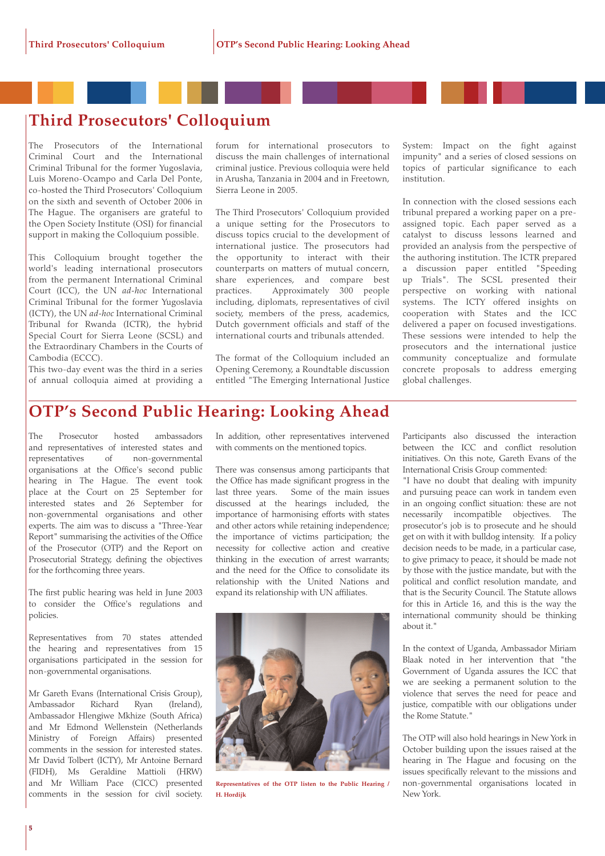# **Third Prosecutors' Colloquium**

The Prosecutors of the International Criminal Court and the International Criminal Tribunal for the former Yugoslavia, Luis Moreno-Ocampo and Carla Del Ponte, co-hosted the Third Prosecutors' Colloquium on the sixth and seventh of October 2006 in The Hague. The organisers are grateful to the Open Society Institute (OSI) for financial support in making the Colloquium possible.

This Colloquium brought together the world's leading international prosecutors from the permanent International Criminal Court (ICC), the UN *ad-hoc* International Criminal Tribunal for the former Yugoslavia (ICTY), the UN *ad-hoc* International Criminal Tribunal for Rwanda (ICTR), the hybrid Special Court for Sierra Leone (SCSL) and the Extraordinary Chambers in the Courts of Cambodia (ECCC).

This two-day event was the third in a series of annual colloquia aimed at providing a

forum for international prosecutors to discuss the main challenges of international criminal justice. Previous colloquia were held in Arusha, Tanzania in 2004 and in Freetown, Sierra Leone in 2005.

The Third Prosecutors' Colloquium provided a unique setting for the Prosecutors to discuss topics crucial to the development of international justice. The prosecutors had the opportunity to interact with their counterparts on matters of mutual concern, share experiences, and compare best practices. Approximately 300 people including, diplomats, representatives of civil society, members of the press, academics, Dutch government officials and staff of the international courts and tribunals attended.

The format of the Colloquium included an Opening Ceremony, a Roundtable discussion entitled "The Emerging International Justice System: Impact on the fight against impunity" and a series of closed sessions on topics of particular significance to each institution.

In connection with the closed sessions each tribunal prepared a working paper on a preassigned topic. Each paper served as a catalyst to discuss lessons learned and provided an analysis from the perspective of the authoring institution. The ICTR prepared a discussion paper entitled "Speeding up Trials". The SCSL presented their perspective on working with national systems. The ICTY offered insights on cooperation with States and the ICC delivered a paper on focused investigations. These sessions were intended to help the prosecutors and the international justice community conceptualize and formulate concrete proposals to address emerging global challenges.

# **OTP's Second Public Hearing: Looking Ahead**

The Prosecutor hosted ambassadors and representatives of interested states and representatives of non-governmental organisations at the Office's second public hearing in The Hague. The event took place at the Court on 25 September for interested states and 26 September for non-governmental organisations and other experts. The aim was to discuss a "Three-Year Report" summarising the activities of the Office of the Prosecutor (OTP) and the Report on Prosecutorial Strategy, defining the objectives for the forthcoming three years.

The first public hearing was held in June 2003 to consider the Office's regulations and policies.

Representatives from 70 states attended the hearing and representatives from 15 organisations participated in the session for non-governmental organisations.

Mr Gareth Evans (International Crisis Group), Ambassador Richard Ryan (Ireland), Ambassador Hlengiwe Mkhize (South Africa) and Mr Edmond Wellenstein (Netherlands Ministry of Foreign Affairs) presented comments in the session for interested states. Mr David Tolbert (ICTY), Mr Antoine Bernard (FIDH), Ms Geraldine Mattioli (HRW) and Mr William Pace (CICC) presented comments in the session for civil society. In addition, other representatives intervened with comments on the mentioned topics.

There was consensus among participants that the Office has made significant progress in the last three years. Some of the main issues discussed at the hearings included, the importance of harmonising efforts with states and other actors while retaining independence; the importance of victims participation; the necessity for collective action and creative thinking in the execution of arrest warrants; and the need for the Office to consolidate its relationship with the United Nations and expand its relationship with UN affiliates.



**Representatives of the OTP listen to the Public Hearing / H. Hordijk**

Participants also discussed the interaction between the ICC and conflict resolution initiatives. On this note, Gareth Evans of the International Crisis Group commented:

"I have no doubt that dealing with impunity and pursuing peace can work in tandem even in an ongoing conflict situation: these are not necessarily incompatible objectives. The prosecutor's job is to prosecute and he should get on with it with bulldog intensity. If a policy decision needs to be made, in a particular case, to give primacy to peace, it should be made not by those with the justice mandate, but with the political and conflict resolution mandate, and that is the Security Council. The Statute allows for this in Article 16, and this is the way the international community should be thinking about it."

In the context of Uganda, Ambassador Miriam Blaak noted in her intervention that "the Government of Uganda assures the ICC that we are seeking a permanent solution to the violence that serves the need for peace and justice, compatible with our obligations under the Rome Statute."

The OTP will also hold hearings in New York in October building upon the issues raised at the hearing in The Hague and focusing on the issues specifically relevant to the missions and non-governmental organisations located in New York.